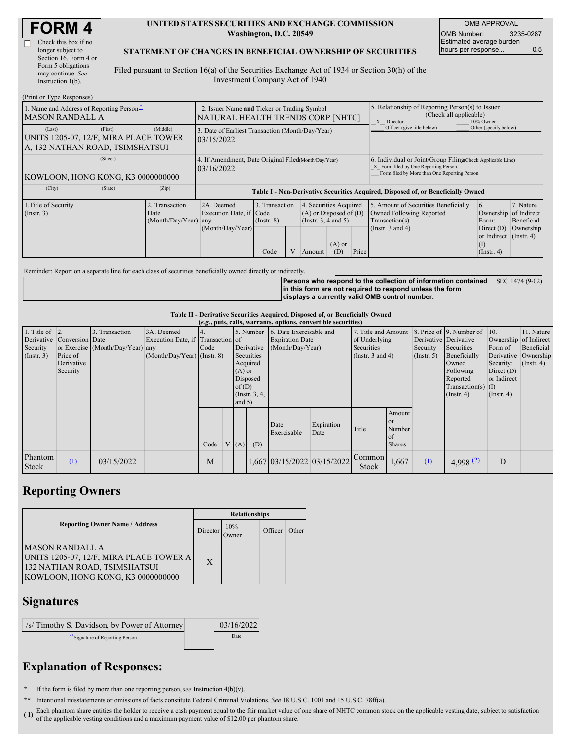| <b>FORM4</b> |
|--------------|
|--------------|

### **UNITED STATES SECURITIES AND EXCHANGE COMMISSION Washington, D.C. 20549**

OMB APPROVAL OMB Number: 3235-0287 Estimated average burden hours per response... 0.5

### **STATEMENT OF CHANGES IN BENEFICIAL OWNERSHIP OF SECURITIES**

Filed pursuant to Section 16(a) of the Securities Exchange Act of 1934 or Section 30(h) of the Investment Company Act of 1940

| (Print or Type Responses)                                                                     |                                                                                  |                                                                                  |                                   |  |                                                                                  |                 |                                                                                                                                                    |                                                                                                             |                                                      |                                      |
|-----------------------------------------------------------------------------------------------|----------------------------------------------------------------------------------|----------------------------------------------------------------------------------|-----------------------------------|--|----------------------------------------------------------------------------------|-----------------|----------------------------------------------------------------------------------------------------------------------------------------------------|-------------------------------------------------------------------------------------------------------------|------------------------------------------------------|--------------------------------------|
| 1. Name and Address of Reporting Person-<br><b>MASON RANDALL A</b>                            | 2. Issuer Name and Ticker or Trading Symbol<br>NATURAL HEALTH TRENDS CORP [NHTC] |                                                                                  |                                   |  |                                                                                  |                 | 5. Relationship of Reporting Person(s) to Issuer<br>(Check all applicable)<br>X Director<br>10% Owner                                              |                                                                                                             |                                                      |                                      |
| (First)<br>(Last)<br>UNITS 1205-07, 12/F, MIRA PLACE TOWER<br>A, 132 NATHAN ROAD, TSIMSHATSUI | (Middle)                                                                         | 3. Date of Earliest Transaction (Month/Day/Year)<br>103/15/2022                  |                                   |  |                                                                                  |                 |                                                                                                                                                    | Officer (give title below)                                                                                  | Other (specify below)                                |                                      |
| (Street)<br>KOWLOON, HONG KONG, K3 0000000000                                                 |                                                                                  | 4. If Amendment, Date Original Filed(Month/Day/Year)<br>03/16/2022               |                                   |  |                                                                                  |                 | 6. Individual or Joint/Group Filing(Check Applicable Line)<br>X Form filed by One Reporting Person<br>Form filed by More than One Reporting Person |                                                                                                             |                                                      |                                      |
| (City)<br>(State)                                                                             | (Zip)                                                                            | Table I - Non-Derivative Securities Acquired, Disposed of, or Beneficially Owned |                                   |  |                                                                                  |                 |                                                                                                                                                    |                                                                                                             |                                                      |                                      |
| 1. Title of Security<br>(Insert. 3)                                                           | . Transaction<br>2.<br>Date<br>(Month/Day/Year) any                              | 2A. Deemed<br>Execution Date, if Code<br>(Month/Day/Year)                        | 3. Transaction<br>$($ Instr. $8)$ |  | 4. Securities Acquired<br>$(A)$ or Disposed of $(D)$<br>(Instr. $3, 4$ and $5$ ) |                 |                                                                                                                                                    | 5. Amount of Securities Beneficially<br>Owned Following Reported<br>Transaction(s)<br>(Instr. $3$ and $4$ ) | 6.<br>Ownership of Indirect<br>Form:<br>Direct $(D)$ | 7. Nature<br>Beneficial<br>Ownership |
|                                                                                               |                                                                                  |                                                                                  | Code                              |  | Amount                                                                           | $(A)$ or<br>(D) | Price                                                                                                                                              |                                                                                                             | or Indirect (Instr. 4)<br>(I)<br>$($ Instr. 4 $)$    |                                      |

Reminder: Report on a separate line for each class of securities beneficially owned directly or indirectly.

**Persons who respond to the collection of information contained in this form are not required to respond unless the form displays a currently valid OMB control number.** SEC 1474 (9-02)

#### **Table II - Derivative Securities Acquired, Disposed of, or Beneficially Owned**

| (e.g., puts, calls, warrants, options, convertible securities) |                                                                  |                                                    |                                                                                  |      |  |                               |                                                                                  |                                                                       |                    |                                                                             |                                                          |                                                  |                                                                                                                                          |                                                                         |                                                                                            |
|----------------------------------------------------------------|------------------------------------------------------------------|----------------------------------------------------|----------------------------------------------------------------------------------|------|--|-------------------------------|----------------------------------------------------------------------------------|-----------------------------------------------------------------------|--------------------|-----------------------------------------------------------------------------|----------------------------------------------------------|--------------------------------------------------|------------------------------------------------------------------------------------------------------------------------------------------|-------------------------------------------------------------------------|--------------------------------------------------------------------------------------------|
| 1. Title of $\vert$ 2.<br>Security<br>(Insert. 3)              | Derivative Conversion Date<br>Price of<br>Derivative<br>Security | 3. Transaction<br>or Exercise (Month/Day/Year) any | 3A. Deemed<br>Execution Date, if Transaction of<br>$(Month/Day/Year)$ (Instr. 8) | Code |  | $(A)$ or<br>of(D)<br>and $5)$ | 5. Number<br>Derivative<br>Securities<br>Acquired<br>Disposed<br>(Instr. $3, 4,$ | 6. Date Exercisable and<br><b>Expiration Date</b><br>(Month/Day/Year) |                    | 7. Title and Amount<br>of Underlying<br>Securities<br>(Instr. $3$ and $4$ ) |                                                          | Derivative Derivative<br>Security<br>(Insert. 5) | 8. Price of 9. Number of 10.<br>Securities<br>Beneficially<br>Owned<br>Following<br>Reported<br>$Transaction(s)$ (I)<br>$($ Instr. 4 $)$ | Form of<br>Security:<br>Direct $(D)$<br>or Indirect<br>$($ Instr. 4 $)$ | 11. Nature<br>Ownership of Indirect<br>Beneficial<br>Derivative Ownership<br>$($ Instr. 4) |
|                                                                |                                                                  |                                                    |                                                                                  | Code |  | V(A)                          | (D)                                                                              | Date<br>Exercisable                                                   | Expiration<br>Date | Title                                                                       | Amount<br><sub>or</sub><br>Number<br>of<br><b>Shares</b> |                                                  |                                                                                                                                          |                                                                         |                                                                                            |
| Phantom<br>Stock                                               | $\Omega$                                                         | 03/15/2022                                         |                                                                                  | M    |  |                               |                                                                                  | 1,667 03/15/2022 03/15/2022                                           |                    | Common<br>Stock                                                             | 1,667                                                    | $\Omega$                                         | 4,998 $(2)$                                                                                                                              | D                                                                       |                                                                                            |

## **Reporting Owners**

|                                                                                                                                  | <b>Relationships</b> |               |         |       |  |  |  |
|----------------------------------------------------------------------------------------------------------------------------------|----------------------|---------------|---------|-------|--|--|--|
| <b>Reporting Owner Name / Address</b>                                                                                            | Director             | 10%<br>Owner) | Officer | Other |  |  |  |
| IMASON RANDALL A<br>UNITS 1205-07, 12/F, MIRA PLACE TOWER A<br>132 NATHAN ROAD, TSIMSHATSUI<br>KOWLOON, HONG KONG, K3 0000000000 | $\mathbf{x}$         |               |         |       |  |  |  |

### **Signatures**

| /s/ Timothy S. Davidson, by Power of Attorney | 03/16/2022 |
|-----------------------------------------------|------------|
| Signature of Reporting Person                 | Date       |

# **Explanation of Responses:**

**\*** If the form is filed by more than one reporting person,*see* Instruction 4(b)(v).

**\*\*** Intentional misstatements or omissions of facts constitute Federal Criminal Violations. *See* 18 U.S.C. 1001 and 15 U.S.C. 78ff(a).

(1) Each phantom share entities the holder to receive a cash payment equal to the fair market value of one share of NHTC common stock on the applicable vesting date, subject to satisfaction of the applicable vesting date, of the applicable vesting conditions and a maximum payment value of \$12.00 per phantom share.